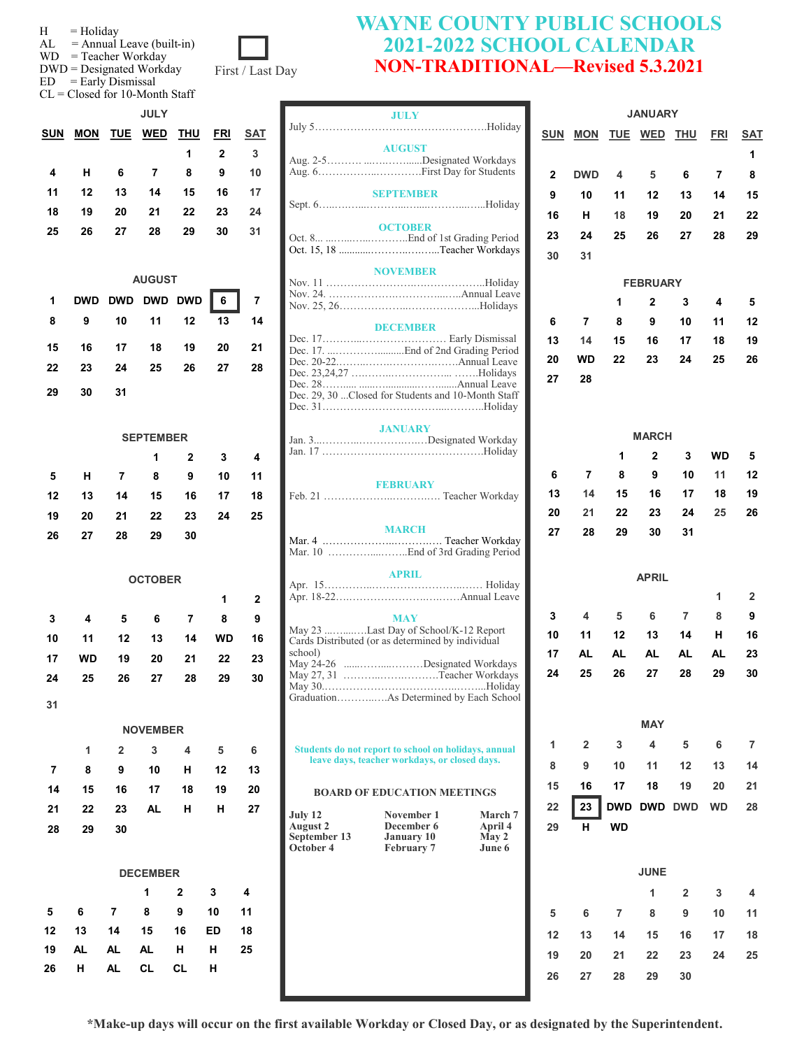| Holiday |  |
|---------|--|
|         |  |

 $AL =$  Annual Leave (built-in)

WD = Teacher Workday

 $DWD =$  Designated

 $ED = Early$  Dismissal

| $, \, \circ \ldots \circ \,$ |      |
|------------------------------|------|
| d Workday:                   | Firs |
|                              |      |

CL = Closed for 10-Month Staff

|            |            |    | <b>JULY</b>    |    |              |            |
|------------|------------|----|----------------|----|--------------|------------|
| <b>SUN</b> | <b>MON</b> |    | TUE WED THU    |    | <b>FRI</b>   | <b>SAT</b> |
|            |            |    |                | 1  | $\mathbf{2}$ | 3          |
| 4          | н          | 6  | $\overline{7}$ | 8  | 9            | 10         |
| 11         | 12         | 13 | 14             | 15 | 16           | 17         |
| 18         | 19         | 20 | 21             | 22 | 23           | 24         |
| 25         | 26         | 27 | 28             | 29 | 30           | 31         |

| <b>AUGUST</b> |                       |    |  |  |  |    |  |
|---------------|-----------------------|----|--|--|--|----|--|
|               | 1 DWD DWD DWD DWD 6 7 |    |  |  |  |    |  |
| 8             | 9 10 11 12 13 14      |    |  |  |  |    |  |
|               | 15 16 17 18 19 20 21  |    |  |  |  |    |  |
|               | 22 23 24 25 26 27     |    |  |  |  | 28 |  |
| 29            | - 30                  | 31 |  |  |  |    |  |

|    |    |    | <b>SEPTEMBER</b> |                |           |    |
|----|----|----|------------------|----------------|-----------|----|
|    |    |    | 1                | $\overline{2}$ | 3         | 4  |
| 5  | н  | 7  | 8                | 9              | 10        | 11 |
| 12 | 13 | 14 | 15               | 16             | 17        | 18 |
| 19 | 20 | 21 | 22               | 23             | 24        | 25 |
| 26 | 27 | 28 | 29               | 30             |           |    |
|    |    |    |                  |                |           |    |
|    |    |    | <b>OCTOBER</b>   |                |           |    |
|    |    |    |                  |                | 1         | 2  |
| 3  | 4  | 5  | 6                | 7              | 8         | 9  |
| 10 | 11 | 12 | 13               | 14             | <b>WD</b> | 16 |
| 17 | WD | 19 | 20               | 21             | 22        | 23 |
| 24 | 25 | 26 | 27               | 28             | 29        | 30 |
| 31 |    |    |                  |                |           |    |
|    |    |    | <b>NOVEMBER</b>  |                |           |    |

|    |                            |    | $1 \quad 2 \quad 3 \quad 4 \quad 5$ |  | 6 |
|----|----------------------------|----|-------------------------------------|--|---|
|    | 7 8 9 10 H 12 13           |    |                                     |  |   |
|    | 14  15  16  17  18  19  20 |    |                                     |  |   |
|    | 21  22  23  AL  H  H  27   |    |                                     |  |   |
| 28 | - 29                       | 30 |                                     |  |   |

# **DECEMBER 1 2 3 4**

|  |                 | 5 6 7 8 9 10 11            |    |  |
|--|-----------------|----------------------------|----|--|
|  |                 | 12  13  14  15  16  ED  18 |    |  |
|  |                 | 19 AL AL AL H H            | 25 |  |
|  | 26 H AL CL CL H |                            |    |  |



|                            | <b>JULY</b>                                                                                           |                           |              |                |                | <b>JANUARY</b>  |                |           |                |
|----------------------------|-------------------------------------------------------------------------------------------------------|---------------------------|--------------|----------------|----------------|-----------------|----------------|-----------|----------------|
|                            |                                                                                                       |                           |              | <b>SUN MON</b> |                | TUE WED         | <b>THU</b>     | FRI       | SA1            |
|                            | <b>AUGUST</b>                                                                                         |                           |              |                |                |                 |                |           |                |
|                            | Aug. 2-5Designated Workdays                                                                           |                           |              |                |                |                 |                |           | 1              |
|                            |                                                                                                       |                           | $\mathbf{2}$ | <b>DWD</b>     | 4              | 5               | 6              | 7         | 8              |
|                            | <b>SEPTEMBER</b>                                                                                      |                           | 9            | 10             | 11             | 12              | 13             | 14        | 15             |
|                            |                                                                                                       |                           | 16           | н              | 18             | 19              | 20             | 21        | 22             |
|                            | <b>OCTOBER</b>                                                                                        |                           |              |                |                |                 |                |           |                |
|                            |                                                                                                       |                           | 23           | 24             | 25             | 26              | 27             | 28        | 29             |
|                            | Oct. 15, 18 Teacher Workdays                                                                          |                           | 30           | 31             |                |                 |                |           |                |
|                            | <b>NOVEMBER</b>                                                                                       |                           |              |                |                |                 |                |           |                |
|                            |                                                                                                       |                           |              |                |                | <b>FEBRUARY</b> |                |           |                |
|                            |                                                                                                       |                           |              |                | 1              | $\mathbf{2}$    | 3              | 4         | 5              |
|                            | <b>DECEMBER</b>                                                                                       |                           | 6            | 7              | 8              | 9               | 10             | 11        | 12             |
|                            |                                                                                                       |                           | 13           | 14             | 15             | 16              | 17             | 18        | 19             |
|                            |                                                                                                       |                           | 20           | <b>WD</b>      | 22             | 23              | 24             | 25        | 26             |
|                            |                                                                                                       |                           | 27           | 28             |                |                 |                |           |                |
|                            |                                                                                                       |                           |              |                |                |                 |                |           |                |
|                            | Dec. 29, 30  Closed for Students and 10-Month Staff                                                   |                           |              |                |                |                 |                |           |                |
|                            | <b>JANUARY</b>                                                                                        |                           |              |                |                |                 |                |           |                |
|                            |                                                                                                       |                           |              |                |                | <b>MARCH</b>    |                |           |                |
|                            |                                                                                                       |                           |              |                | 1              | 2               | 3              | WD        | 5              |
|                            |                                                                                                       |                           | 6            | 7              | 8              | 9               | 10             | 11        | 12             |
|                            | <b>FEBRUARY</b>                                                                                       |                           | 13           | 14             | 15             | 16              | 17             | 18        | 19             |
|                            |                                                                                                       |                           |              |                |                |                 |                |           |                |
|                            |                                                                                                       |                           | 20           | 21             | 22             | 23              | 24             | 25        | 26             |
|                            | <b>MARCH</b>                                                                                          |                           | 27           | 28             | 29             | 30              | 31             |           |                |
|                            |                                                                                                       |                           |              |                |                |                 |                |           |                |
|                            | <b>APRIL</b>                                                                                          |                           |              |                |                | <b>APRIL</b>    |                |           |                |
|                            |                                                                                                       |                           |              |                |                |                 |                |           |                |
|                            |                                                                                                       |                           |              |                |                |                 |                | 1         | 2              |
|                            | <b>MAY</b>                                                                                            |                           | 3            | 4              | 5              | 6               | 7              | 8         | 9              |
|                            | May 23 Last Day of School/K-12 Report<br>Cards Distributed (or as determined by individual            |                           | 10           | 11             | 12             | 13              | 14             | н         | 16             |
| school)                    |                                                                                                       |                           | 17           | AL             | AL             | AL              | AL             | AL        | 23             |
|                            | May 24-26 Designated Workdays<br>May 27, 31 Teacher Workdays                                          |                           | 24           | 25             | 26             | 27              | 28             | 29        | 30             |
|                            |                                                                                                       |                           |              |                |                |                 |                |           |                |
|                            | GraduationAs Determined by Each School                                                                |                           |              |                |                |                 |                |           |                |
|                            |                                                                                                       |                           |              |                |                | <b>MAY</b>      |                |           |                |
|                            |                                                                                                       |                           | 1            | $\overline{2}$ | 3              | 4               | 5              | 6         | $\overline{7}$ |
|                            | Students do not report to school on holidays, annual<br>leave days, teacher workdays, or closed days. |                           |              |                |                |                 |                |           |                |
|                            |                                                                                                       |                           | 8            | 9              | 10             | 11              | 12             | 13        | 14             |
|                            | <b>BOARD OF EDUCATION MEETINGS</b>                                                                    |                           | 15           | 16             | 17             | 18              | 19             | 20        | 21             |
|                            |                                                                                                       |                           | 22           | 23             |                | DWD DWD DWD     |                | <b>WD</b> | 28             |
| July 12<br><b>August 2</b> | November 1<br>December 6                                                                              | <b>March 7</b><br>April 4 | 29           | н              | <b>WD</b>      |                 |                |           |                |
| September 13               | <b>January 10</b>                                                                                     | May 2                     |              |                |                |                 |                |           |                |
| October 4                  | <b>February 7</b>                                                                                     | June 6                    |              |                |                |                 |                |           |                |
|                            |                                                                                                       |                           |              |                |                | <b>JUNE</b>     |                |           |                |
|                            |                                                                                                       |                           |              |                |                | 1               | $\overline{2}$ | 3         | 4              |
|                            |                                                                                                       |                           |              |                |                |                 |                |           |                |
|                            |                                                                                                       |                           | 5            | 6              | $\overline{7}$ | 8               | 9              | 10        | 11             |
|                            |                                                                                                       |                           | 12           | 13             | 14             | 15              | 16             | 17        | 18             |
|                            |                                                                                                       |                           | 19           | 20             | 21             | 22              | 23             | 24        | 25             |
|                            |                                                                                                       |                           |              | $\sim$         | n <sub>n</sub> | $\sim$          | $\sim$         |           |                |

| <u>SUN</u>              | <b>MON</b>              | <b>TUE</b>     | <b>WED</b>      | <b>THU</b>     | <b>FRI</b>              | <b>SAT</b> |
|-------------------------|-------------------------|----------------|-----------------|----------------|-------------------------|------------|
|                         |                         |                |                 |                |                         | 1          |
| $\overline{\mathbf{c}}$ | <b>DWD</b>              | $\overline{4}$ | $\sqrt{5}$      | 6              | $\overline{\mathbf{7}}$ | 8          |
| 9                       | 10                      | 11             | 12              | 13             | 14                      | 15         |
| 16                      | н                       | 18             | 19              | 20             | 21                      | 22         |
| 23                      | 24                      | 25             | 26              | 27             | 28                      | 29         |
| 30                      | 31                      |                |                 |                |                         |            |
|                         |                         |                | <b>FEBRUARY</b> |                |                         |            |
|                         |                         | 1              | 2               | 3              | $\boldsymbol{4}$        | 5          |
| 6                       | $\overline{7}$          | 8              | 9               | 10             | 11                      | 12         |
| 13                      | 14                      | 15             | 16              | 17             | 18                      | 19         |
| 20                      | <b>WD</b>               | 22             | 23              | 24             | 25                      | 26         |
| 27                      | 28                      |                |                 |                |                         |            |
|                         |                         |                |                 |                |                         |            |
|                         |                         |                |                 |                |                         |            |
|                         |                         |                | <b>MARCH</b>    |                |                         |            |
|                         |                         | 1              | $\overline{2}$  | 3              | <b>WD</b>               | 5          |
| 6                       | $\overline{\mathbf{r}}$ | 8              | 9               | 10             | 11                      | 12         |
| 13                      | 14                      | 15             | 16              | 17             | 18                      | 19         |
| 20                      | 21<br>28                | 22<br>29       | 23<br>30        | 24<br>31       | 25                      | 26         |
| 27                      |                         |                |                 |                |                         |            |
|                         |                         |                |                 |                |                         |            |
|                         |                         |                | <b>APRIL</b>    |                |                         |            |
| 3                       | $\overline{4}$          | $5\phantom{1}$ | 6               | $\overline{7}$ | 1<br>8                  | 2<br>9     |
| 10                      | 11                      | 12             | 13              | 14             | н                       | 16         |
| 17                      | AL                      | <b>AL</b>      | <b>AL</b>       | <b>AL</b>      | <b>AL</b>               | 23         |
| 24                      | 25                      | 26             | 27              | 28             | 29                      | 30         |
|                         |                         |                |                 |                |                         |            |
|                         |                         |                |                 |                |                         |            |
|                         |                         |                | <b>MAY</b>      |                |                         |            |
| 1                       | $\overline{2}$          | 3              | $\overline{4}$  | 5              | 6                       | 7          |
| 8                       | 9                       | 10             | 11              | 12             | 13                      | 14         |

| . . | נו ש |
|-----|------|

|    |    |    | <b>JUNE</b> |                |    |    |
|----|----|----|-------------|----------------|----|----|
|    |    |    | 1           | $\overline{2}$ | 3  | 4  |
| 5  | 6  | 7  | 8           | 9              | 10 | 11 |
| 12 | 13 | 14 | 15          | 16             | 17 | 18 |
| 19 | 20 | 21 | 22          | 23             | 24 | 25 |
| 26 | 27 | 28 | 29          | 30             |    |    |
|    |    |    |             |                |    |    |